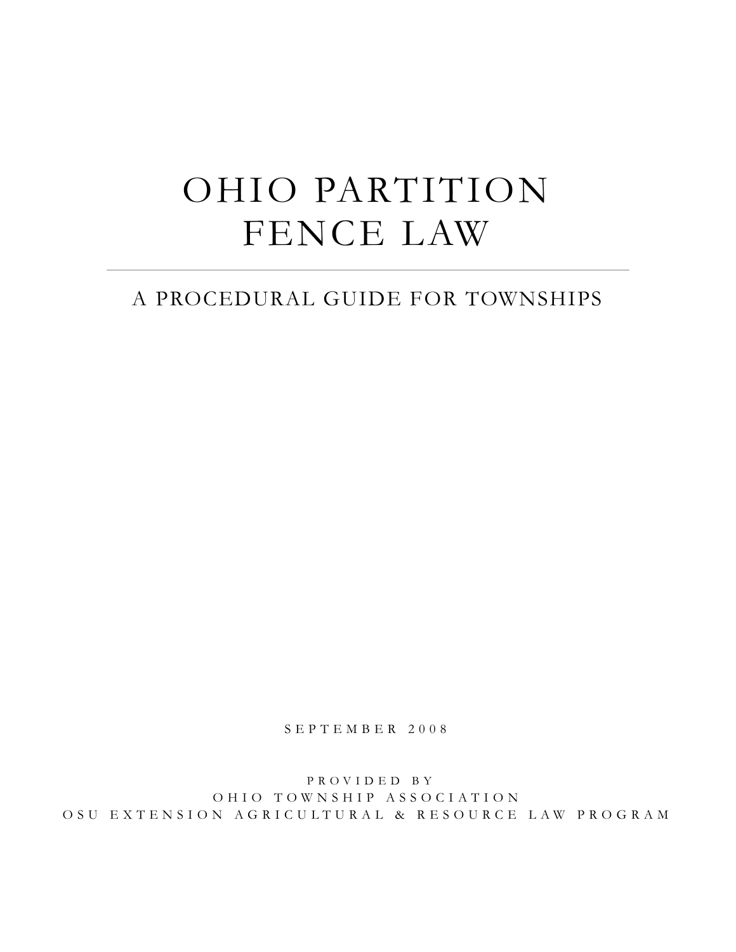# OHIO PARTITION FENCE LAW

### A PROCEDURAL GUIDE FOR TOWNSHIPS

S E P T E M B E R 2 0 0 8

P R O V I D E D B Y OHIO TOWNSHIP ASSOCIATION O S U E X T E N S I O N A G R I C U L T U R A L & R E S O U R C E L A W P R O G R A M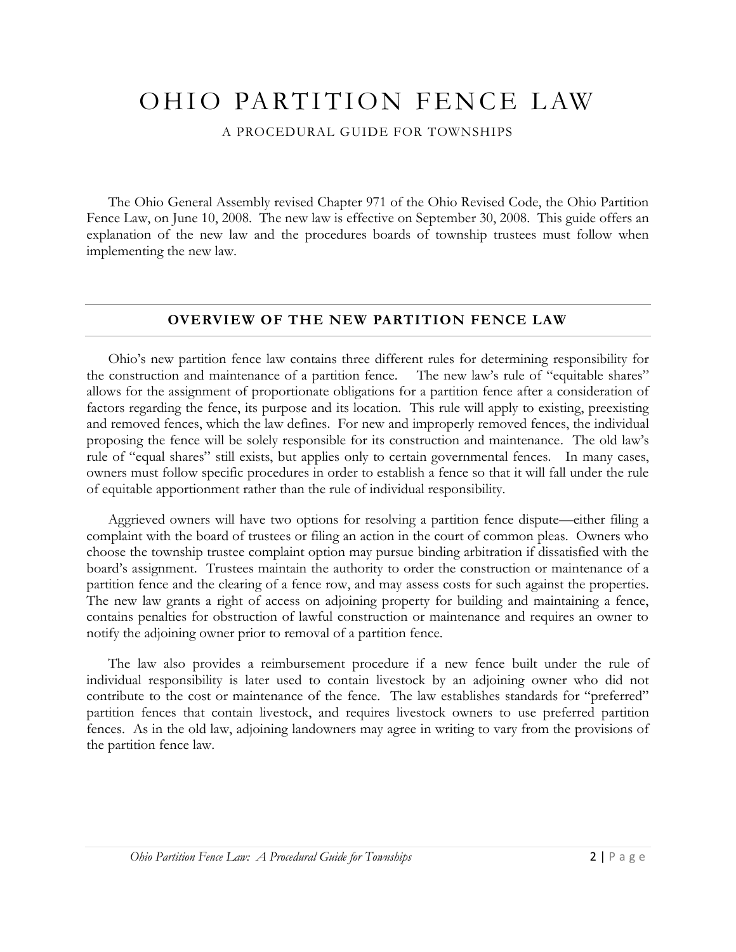## OHIO PARTITION FENCE LAW

A PROCEDURAL GUIDE FOR TOWNSHIPS

The Ohio General Assembly revised Chapter 971 of the Ohio Revised Code, the Ohio Partition Fence Law, on June 10, 2008. The new law is effective on September 30, 2008. This guide offers an explanation of the new law and the procedures boards of township trustees must follow when implementing the new law.

#### **OVERVIEW OF THE NEW PARTITION FENCE LAW**

Ohio's new partition fence law contains three different rules for determining responsibility for the construction and maintenance of a partition fence. The new law's rule of "equitable shares" allows for the assignment of proportionate obligations for a partition fence after a consideration of factors regarding the fence, its purpose and its location. This rule will apply to existing, preexisting and removed fences, which the law defines. For new and improperly removed fences, the individual proposing the fence will be solely responsible for its construction and maintenance. The old law's rule of "equal shares" still exists, but applies only to certain governmental fences. In many cases, owners must follow specific procedures in order to establish a fence so that it will fall under the rule of equitable apportionment rather than the rule of individual responsibility.

Aggrieved owners will have two options for resolving a partition fence dispute—either filing a complaint with the board of trustees or filing an action in the court of common pleas. Owners who choose the township trustee complaint option may pursue binding arbitration if dissatisfied with the board's assignment. Trustees maintain the authority to order the construction or maintenance of a partition fence and the clearing of a fence row, and may assess costs for such against the properties. The new law grants a right of access on adjoining property for building and maintaining a fence, contains penalties for obstruction of lawful construction or maintenance and requires an owner to notify the adjoining owner prior to removal of a partition fence.

The law also provides a reimbursement procedure if a new fence built under the rule of individual responsibility is later used to contain livestock by an adjoining owner who did not contribute to the cost or maintenance of the fence. The law establishes standards for "preferred" partition fences that contain livestock, and requires livestock owners to use preferred partition fences. As in the old law, adjoining landowners may agree in writing to vary from the provisions of the partition fence law.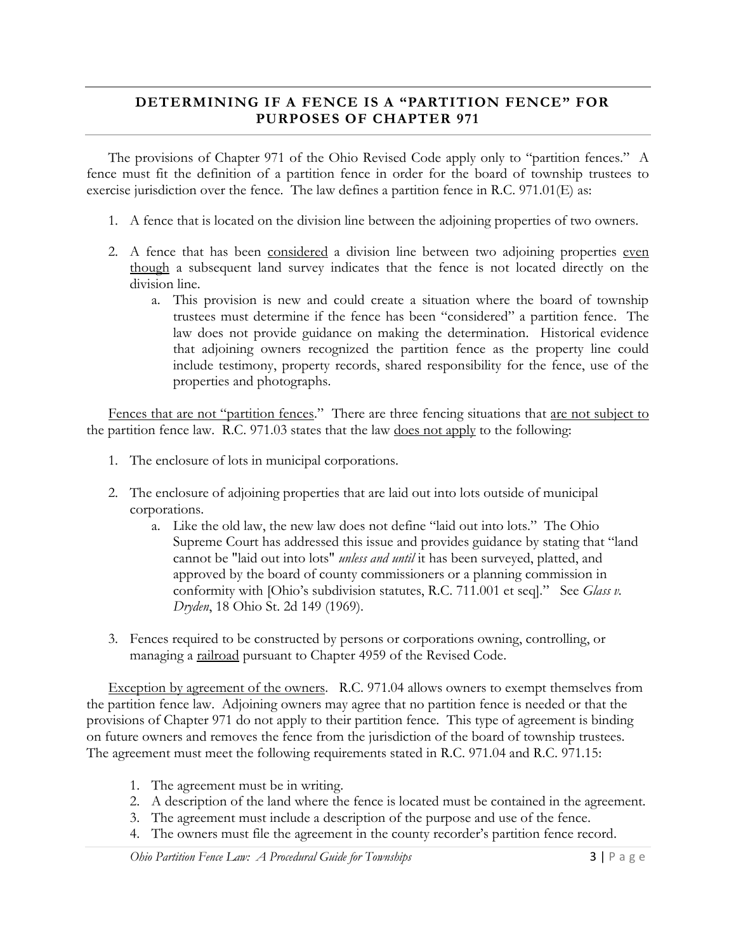#### **DETERMINING IF A FENCE IS A "PARTITION FENCE" FOR PURPOSES OF CHAPTER 971**

The provisions of Chapter 971 of the Ohio Revised Code apply only to "partition fences." A fence must fit the definition of a partition fence in order for the board of township trustees to exercise jurisdiction over the fence. The law defines a partition fence in R.C. 971.01(E) as:

- 1. A fence that is located on the division line between the adjoining properties of two owners.
- 2. A fence that has been considered a division line between two adjoining properties even though a subsequent land survey indicates that the fence is not located directly on the division line.
	- a. This provision is new and could create a situation where the board of township trustees must determine if the fence has been "considered" a partition fence. The law does not provide guidance on making the determination. Historical evidence that adjoining owners recognized the partition fence as the property line could include testimony, property records, shared responsibility for the fence, use of the properties and photographs.

Fences that are not "partition fences." There are three fencing situations that are not subject to the partition fence law. R.C. 971.03 states that the law does not apply to the following:

- 1. The enclosure of lots in municipal corporations.
- 2. The enclosure of adjoining properties that are laid out into lots outside of municipal corporations.
	- a. Like the old law, the new law does not define "laid out into lots." The Ohio Supreme Court has addressed this issue and provides guidance by stating that "land cannot be "laid out into lots" *unless and until* it has been surveyed, platted, and approved by the board of county commissioners or a planning commission in conformity with [Ohio's subdivision statutes, R.C. 711.001 et seq]." See *Glass v*. *Dryden*, 18 Ohio St. 2d 149 (1969).
- 3. Fences required to be constructed by persons or corporations owning, controlling, or managing a railroad pursuant to Chapter 4959 of the Revised Code.

Exception by agreement of the owners. R.C. 971.04 allows owners to exempt themselves from the partition fence law. Adjoining owners may agree that no partition fence is needed or that the provisions of Chapter 971 do not apply to their partition fence. This type of agreement is binding on future owners and removes the fence from the jurisdiction of the board of township trustees. The agreement must meet the following requirements stated in R.C. 971.04 and R.C. 971.15:

- 1. The agreement must be in writing.
- 2. A description of the land where the fence is located must be contained in the agreement.
- 3. The agreement must include a description of the purpose and use of the fence.
- 4. The owners must file the agreement in the county recorder's partition fence record.

*Ohio Partition Fence Law: A Procedural Guide for Townships* 3 | P a g e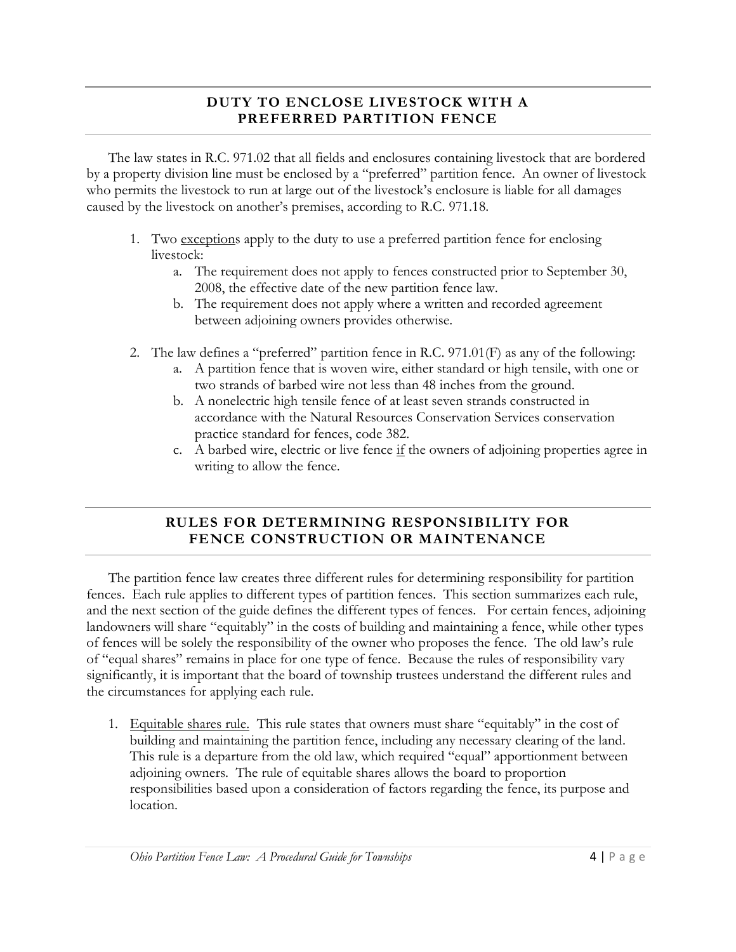#### **DUTY TO ENCLOSE LIVESTOCK WITH A PREFERRED PARTITION FENCE**

The law states in R.C. 971.02 that all fields and enclosures containing livestock that are bordered by a property division line must be enclosed by a "preferred" partition fence. An owner of livestock who permits the livestock to run at large out of the livestock's enclosure is liable for all damages caused by the livestock on another's premises, according to R.C. 971.18.

- 1. Two exceptions apply to the duty to use a preferred partition fence for enclosing livestock:
	- a. The requirement does not apply to fences constructed prior to September 30, 2008, the effective date of the new partition fence law.
	- b. The requirement does not apply where a written and recorded agreement between adjoining owners provides otherwise.
- 2. The law defines a "preferred" partition fence in R.C. 971.01(F) as any of the following:
	- a. A partition fence that is woven wire, either standard or high tensile, with one or two strands of barbed wire not less than 48 inches from the ground.
	- b. A nonelectric high tensile fence of at least seven strands constructed in accordance with the Natural Resources Conservation Services conservation practice standard for fences, code 382.
	- c. A barbed wire, electric or live fence if the owners of adjoining properties agree in writing to allow the fence.

#### **RULES FOR DETERMINING RESPONSIBILITY FOR FENCE CONSTRUCTION OR MAINTENANCE**

The partition fence law creates three different rules for determining responsibility for partition fences. Each rule applies to different types of partition fences. This section summarizes each rule, and the next section of the guide defines the different types of fences. For certain fences, adjoining landowners will share "equitably" in the costs of building and maintaining a fence, while other types of fences will be solely the responsibility of the owner who proposes the fence. The old law's rule of "equal shares" remains in place for one type of fence. Because the rules of responsibility vary significantly, it is important that the board of township trustees understand the different rules and the circumstances for applying each rule.

1. Equitable shares rule. This rule states that owners must share "equitably" in the cost of building and maintaining the partition fence, including any necessary clearing of the land. This rule is a departure from the old law, which required "equal" apportionment between adjoining owners. The rule of equitable shares allows the board to proportion responsibilities based upon a consideration of factors regarding the fence, its purpose and location.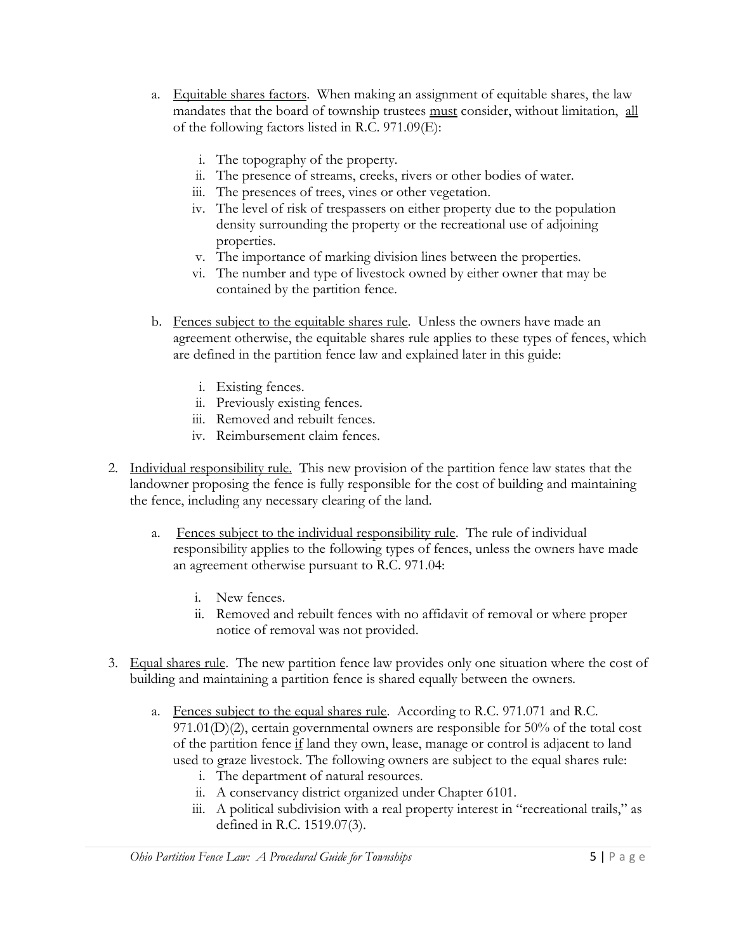- a. Equitable shares factors. When making an assignment of equitable shares, the law mandates that the board of township trustees must consider, without limitation, all of the following factors listed in R.C. 971.09(E):
	- i. The topography of the property.
	- ii. The presence of streams, creeks, rivers or other bodies of water.
	- iii. The presences of trees, vines or other vegetation.
	- iv. The level of risk of trespassers on either property due to the population density surrounding the property or the recreational use of adjoining properties.
	- v. The importance of marking division lines between the properties.
	- vi. The number and type of livestock owned by either owner that may be contained by the partition fence.
- b. Fences subject to the equitable shares rule. Unless the owners have made an agreement otherwise, the equitable shares rule applies to these types of fences, which are defined in the partition fence law and explained later in this guide:
	- i. Existing fences.
	- ii. Previously existing fences.
	- iii. Removed and rebuilt fences.
	- iv. Reimbursement claim fences.
- 2. Individual responsibility rule. This new provision of the partition fence law states that the landowner proposing the fence is fully responsible for the cost of building and maintaining the fence, including any necessary clearing of the land.
	- a. Fences subject to the individual responsibility rule. The rule of individual responsibility applies to the following types of fences, unless the owners have made an agreement otherwise pursuant to R.C. 971.04:
		- i. New fences.
		- ii. Removed and rebuilt fences with no affidavit of removal or where proper notice of removal was not provided.
- 3. Equal shares rule. The new partition fence law provides only one situation where the cost of building and maintaining a partition fence is shared equally between the owners.
	- a. Fences subject to the equal shares rule. According to R.C. 971.071 and R.C. 971.01(D)(2), certain governmental owners are responsible for 50% of the total cost of the partition fence if land they own, lease, manage or control is adjacent to land used to graze livestock. The following owners are subject to the equal shares rule:
		- i. The department of natural resources.
		- ii. A conservancy district organized under Chapter 6101.
		- iii. A political subdivision with a real property interest in "recreational trails," as defined in R.C. 1519.07(3).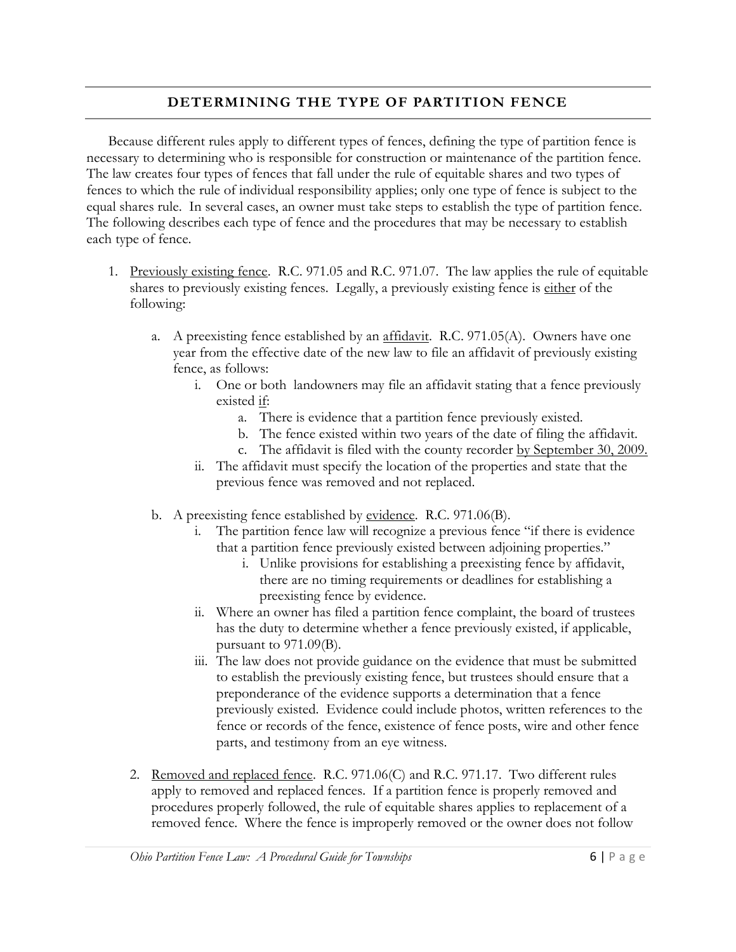#### **DETERMINING THE TYPE OF PARTITION FENCE**

Because different rules apply to different types of fences, defining the type of partition fence is necessary to determining who is responsible for construction or maintenance of the partition fence. The law creates four types of fences that fall under the rule of equitable shares and two types of fences to which the rule of individual responsibility applies; only one type of fence is subject to the equal shares rule. In several cases, an owner must take steps to establish the type of partition fence. The following describes each type of fence and the procedures that may be necessary to establish each type of fence.

- 1. Previously existing fence. R.C. 971.05 and R.C. 971.07. The law applies the rule of equitable shares to previously existing fences. Legally, a previously existing fence is either of the following:
	- a. A preexisting fence established by an affidavit. R.C. 971.05(A). Owners have one year from the effective date of the new law to file an affidavit of previously existing fence, as follows:
		- i. One or both landowners may file an affidavit stating that a fence previously existed if:
			- a. There is evidence that a partition fence previously existed.
			- b. The fence existed within two years of the date of filing the affidavit.
			- c. The affidavit is filed with the county recorder by September 30, 2009.
		- ii. The affidavit must specify the location of the properties and state that the previous fence was removed and not replaced.
	- b. A preexisting fence established by evidence. R.C. 971.06(B).
		- i. The partition fence law will recognize a previous fence "if there is evidence that a partition fence previously existed between adjoining properties."
			- i. Unlike provisions for establishing a preexisting fence by affidavit, there are no timing requirements or deadlines for establishing a preexisting fence by evidence.
		- ii. Where an owner has filed a partition fence complaint, the board of trustees has the duty to determine whether a fence previously existed, if applicable, pursuant to 971.09(B).
		- iii. The law does not provide guidance on the evidence that must be submitted to establish the previously existing fence, but trustees should ensure that a preponderance of the evidence supports a determination that a fence previously existed. Evidence could include photos, written references to the fence or records of the fence, existence of fence posts, wire and other fence parts, and testimony from an eye witness.
	- 2. Removed and replaced fence. R.C. 971.06(C) and R.C. 971.17. Two different rules apply to removed and replaced fences. If a partition fence is properly removed and procedures properly followed, the rule of equitable shares applies to replacement of a removed fence. Where the fence is improperly removed or the owner does not follow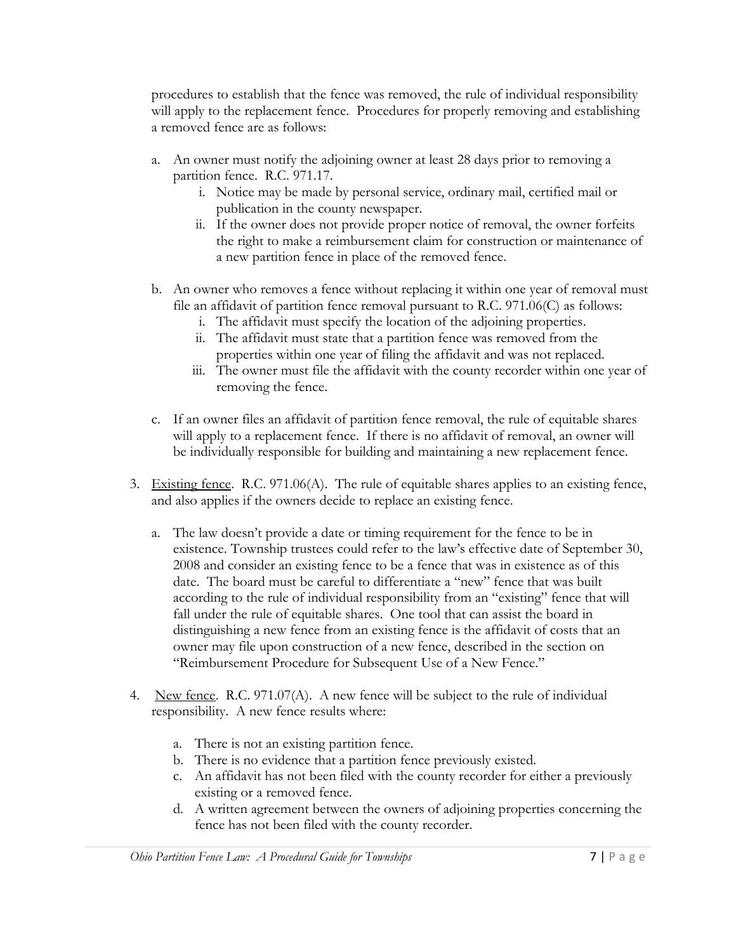procedures to establish that the fence was removed, the rule of individual responsibility will apply to the replacement fence. Procedures for properly removing and establishing a removed fence are as follows:

- a. An owner must notify the adjoining owner at least 28 days prior to removing a partition fence. R.C. 971.17.
	- i. Notice may be made by personal service, ordinary mail, certified mail or publication in the county newspaper.
	- ii. If the owner does not provide proper notice of removal, the owner forfeits the right to make a reimbursement claim for construction or maintenance of a new partition fence in place of the removed fence.
- b. An owner who removes a fence without replacing it within one year of removal must file an affidavit of partition fence removal pursuant to R.C. 971.06(C) as follows:
	- i. The affidavit must specify the location of the adjoining properties.
	- ii. The affidavit must state that a partition fence was removed from the properties within one year of filing the affidavit and was not replaced.
	- iii. The owner must file the affidavit with the county recorder within one year of removing the fence.
- c. If an owner files an affidavit of partition fence removal, the rule of equitable shares will apply to a replacement fence. If there is no affidavit of removal, an owner will be individually responsible for building and maintaining a new replacement fence.
- 3. Existing fence. R.C. 971.06(A). The rule of equitable shares applies to an existing fence, and also applies if the owners decide to replace an existing fence.
	- a. The law doesn't provide a date or timing requirement for the fence to be in existence. Township trustees could refer to the law's effective date of September 30, 2008 and consider an existing fence to be a fence that was in existence as of this date. The board must be careful to differentiate a "new" fence that was built according to the rule of individual responsibility from an "existing" fence that will fall under the rule of equitable shares. One tool that can assist the board in distinguishing a new fence from an existing fence is the affidavit of costs that an owner may file upon construction of a new fence, described in the section on "Reimbursement Procedure for Subsequent Use of a New Fence."
- 4. New fence. R.C. 971.07(A). A new fence will be subject to the rule of individual responsibility. A new fence results where:
	- a. There is not an existing partition fence.
	- b. There is no evidence that a partition fence previously existed.
	- c. An affidavit has not been filed with the county recorder for either a previously existing or a removed fence.
	- d. A written agreement between the owners of adjoining properties concerning the fence has not been filed with the county recorder.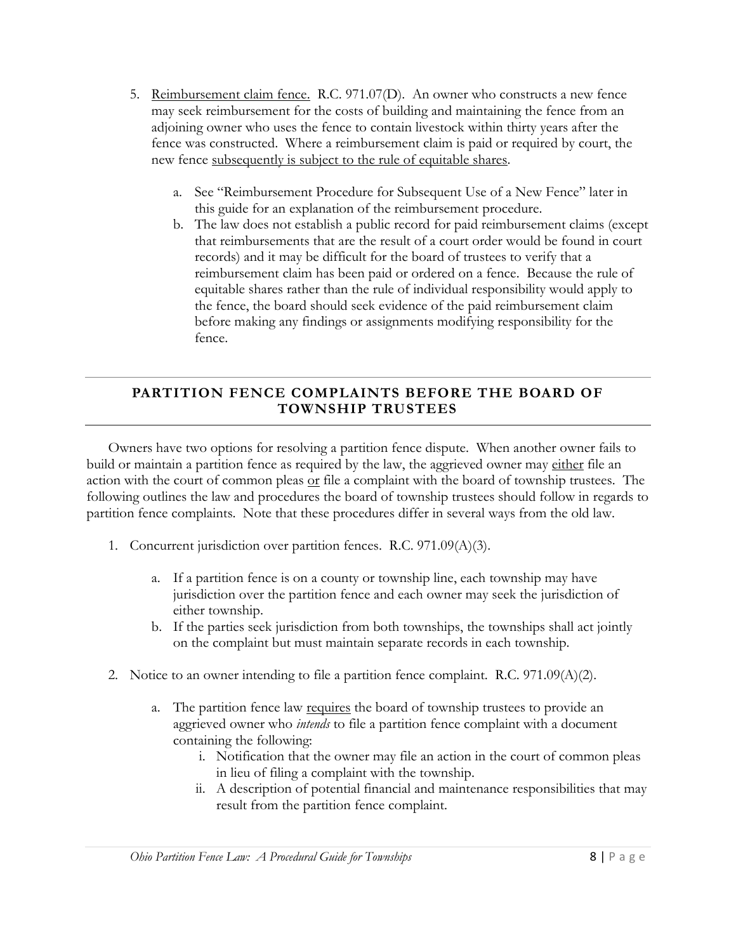- 5. Reimbursement claim fence. R.C. 971.07(D). An owner who constructs a new fence may seek reimbursement for the costs of building and maintaining the fence from an adjoining owner who uses the fence to contain livestock within thirty years after the fence was constructed. Where a reimbursement claim is paid or required by court, the new fence subsequently is subject to the rule of equitable shares.
	- a. See "Reimbursement Procedure for Subsequent Use of a New Fence" later in this guide for an explanation of the reimbursement procedure.
	- b. The law does not establish a public record for paid reimbursement claims (except that reimbursements that are the result of a court order would be found in court records) and it may be difficult for the board of trustees to verify that a reimbursement claim has been paid or ordered on a fence. Because the rule of equitable shares rather than the rule of individual responsibility would apply to the fence, the board should seek evidence of the paid reimbursement claim before making any findings or assignments modifying responsibility for the fence.

#### **PARTITION FENCE COMPLAINTS BEFORE THE BOARD OF TOWNSHIP TRUSTEES**

Owners have two options for resolving a partition fence dispute. When another owner fails to build or maintain a partition fence as required by the law, the aggrieved owner may either file an action with the court of common pleas  $or$  file a complaint with the board of township trustees. The</u> following outlines the law and procedures the board of township trustees should follow in regards to partition fence complaints. Note that these procedures differ in several ways from the old law.

- 1. Concurrent jurisdiction over partition fences. R.C. 971.09(A)(3).
	- a. If a partition fence is on a county or township line, each township may have jurisdiction over the partition fence and each owner may seek the jurisdiction of either township.
	- b. If the parties seek jurisdiction from both townships, the townships shall act jointly on the complaint but must maintain separate records in each township.
- 2. Notice to an owner intending to file a partition fence complaint. R.C.  $971.09(A)(2)$ .
	- a. The partition fence law requires the board of township trustees to provide an aggrieved owner who *intends* to file a partition fence complaint with a document containing the following:
		- i. Notification that the owner may file an action in the court of common pleas in lieu of filing a complaint with the township.
		- ii. A description of potential financial and maintenance responsibilities that may result from the partition fence complaint.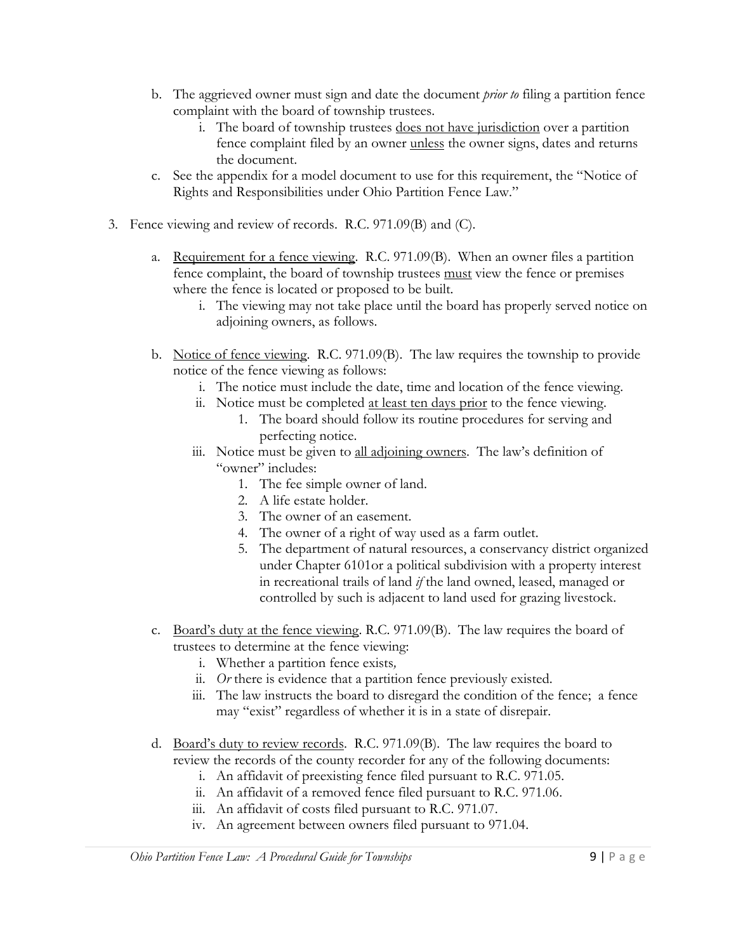- b. The aggrieved owner must sign and date the document *prior to* filing a partition fence complaint with the board of township trustees.
	- i. The board of township trustees does not have jurisdiction over a partition fence complaint filed by an owner unless the owner signs, dates and returns the document.
- c. See the appendix for a model document to use for this requirement, the "Notice of Rights and Responsibilities under Ohio Partition Fence Law."
- 3. Fence viewing and review of records. R.C. 971.09(B) and (C).
	- a. Requirement for a fence viewing. R.C. 971.09(B). When an owner files a partition fence complaint, the board of township trustees must view the fence or premises where the fence is located or proposed to be built.
		- i. The viewing may not take place until the board has properly served notice on adjoining owners, as follows.
	- b. Notice of fence viewing. R.C. 971.09(B). The law requires the township to provide notice of the fence viewing as follows:
		- i. The notice must include the date, time and location of the fence viewing.
		- ii. Notice must be completed at least ten days prior to the fence viewing.
			- 1. The board should follow its routine procedures for serving and perfecting notice.
		- iii. Notice must be given to all adjoining owners. The law's definition of "owner" includes:
			- 1. The fee simple owner of land.
			- 2. A life estate holder.
			- 3. The owner of an easement.
			- 4. The owner of a right of way used as a farm outlet.
			- 5. The department of natural resources, a conservancy district organized under Chapter 6101or a political subdivision with a property interest in recreational trails of land *if* the land owned, leased, managed or controlled by such is adjacent to land used for grazing livestock.
	- c. Board's duty at the fence viewing. R.C. 971.09(B). The law requires the board of trustees to determine at the fence viewing:
		- i. Whether a partition fence exists*,*
		- ii. *Or* there is evidence that a partition fence previously existed.
		- iii. The law instructs the board to disregard the condition of the fence; a fence may "exist" regardless of whether it is in a state of disrepair.
	- d. Board's duty to review records. R.C. 971.09(B). The law requires the board to review the records of the county recorder for any of the following documents:
		- i. An affidavit of preexisting fence filed pursuant to R.C. 971.05.
		- ii. An affidavit of a removed fence filed pursuant to R.C. 971.06.
		- iii. An affidavit of costs filed pursuant to R.C. 971.07.
		- iv. An agreement between owners filed pursuant to 971.04.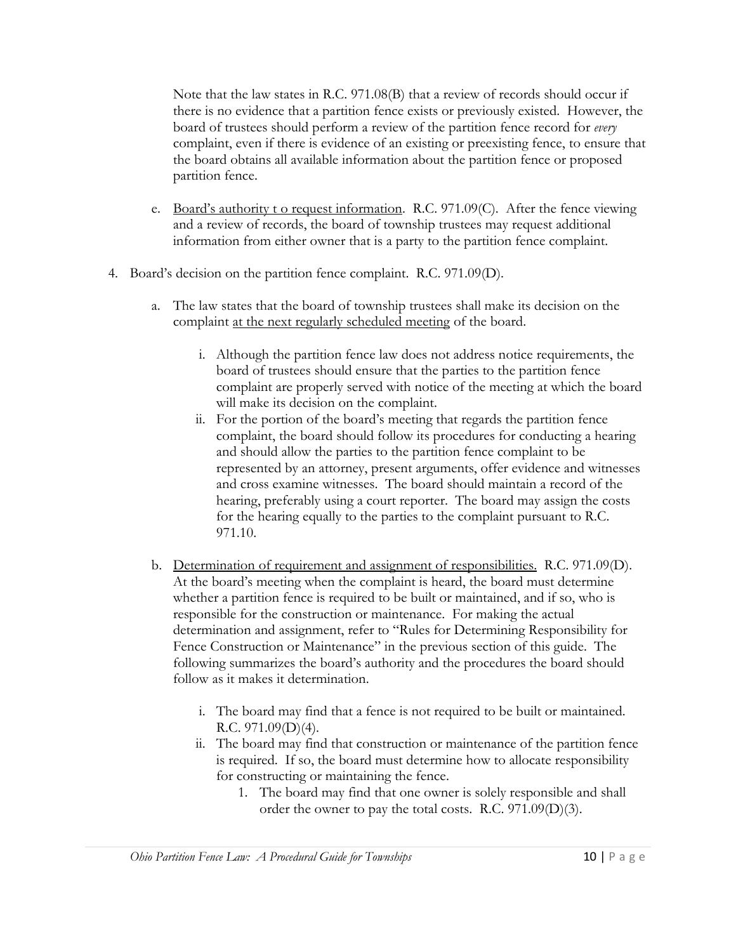Note that the law states in R.C. 971.08(B) that a review of records should occur if there is no evidence that a partition fence exists or previously existed. However, the board of trustees should perform a review of the partition fence record for *every*  complaint, even if there is evidence of an existing or preexisting fence, to ensure that the board obtains all available information about the partition fence or proposed partition fence.

- e. Board's authority t o request information. R.C. 971.09(C). After the fence viewing and a review of records, the board of township trustees may request additional information from either owner that is a party to the partition fence complaint.
- 4. Board's decision on the partition fence complaint. R.C. 971.09(D).
	- a. The law states that the board of township trustees shall make its decision on the complaint at the next regularly scheduled meeting of the board.
		- i. Although the partition fence law does not address notice requirements, the board of trustees should ensure that the parties to the partition fence complaint are properly served with notice of the meeting at which the board will make its decision on the complaint.
		- ii. For the portion of the board's meeting that regards the partition fence complaint, the board should follow its procedures for conducting a hearing and should allow the parties to the partition fence complaint to be represented by an attorney, present arguments, offer evidence and witnesses and cross examine witnesses. The board should maintain a record of the hearing, preferably using a court reporter. The board may assign the costs for the hearing equally to the parties to the complaint pursuant to R.C. 971.10.
	- b. Determination of requirement and assignment of responsibilities. R.C. 971.09(D). At the board's meeting when the complaint is heard, the board must determine whether a partition fence is required to be built or maintained, and if so, who is responsible for the construction or maintenance. For making the actual determination and assignment, refer to "Rules for Determining Responsibility for Fence Construction or Maintenance" in the previous section of this guide. The following summarizes the board's authority and the procedures the board should follow as it makes it determination.
		- i. The board may find that a fence is not required to be built or maintained. R.C. 971.09(D)(4).
		- ii. The board may find that construction or maintenance of the partition fence is required. If so, the board must determine how to allocate responsibility for constructing or maintaining the fence.
			- 1. The board may find that one owner is solely responsible and shall order the owner to pay the total costs. R.C. 971.09(D)(3).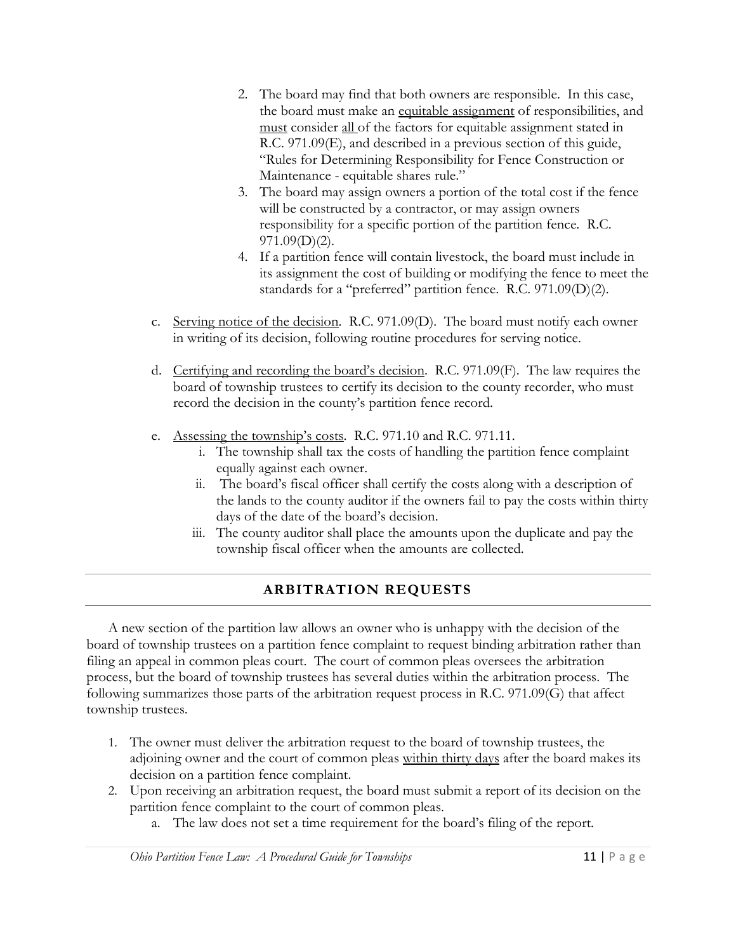- 2. The board may find that both owners are responsible. In this case, the board must make an equitable assignment of responsibilities, and must consider all of the factors for equitable assignment stated in R.C. 971.09(E), and described in a previous section of this guide, ―Rules for Determining Responsibility for Fence Construction or Maintenance - equitable shares rule."
- 3. The board may assign owners a portion of the total cost if the fence will be constructed by a contractor, or may assign owners responsibility for a specific portion of the partition fence. R.C.  $971.09(D)(2)$ .
- 4. If a partition fence will contain livestock, the board must include in its assignment the cost of building or modifying the fence to meet the standards for a "preferred" partition fence. R.C. 971.09(D)(2).
- c. Serving notice of the decision. R.C. 971.09(D). The board must notify each owner in writing of its decision, following routine procedures for serving notice.
- d. Certifying and recording the board's decision. R.C. 971.09(F). The law requires the board of township trustees to certify its decision to the county recorder, who must record the decision in the county's partition fence record.
- e. Assessing the township's costs. R.C. 971.10 and R.C. 971.11.
	- i. The township shall tax the costs of handling the partition fence complaint equally against each owner.
	- ii. The board's fiscal officer shall certify the costs along with a description of the lands to the county auditor if the owners fail to pay the costs within thirty days of the date of the board's decision.
	- iii. The county auditor shall place the amounts upon the duplicate and pay the township fiscal officer when the amounts are collected.

#### **ARBITRATION REQUESTS**

A new section of the partition law allows an owner who is unhappy with the decision of the board of township trustees on a partition fence complaint to request binding arbitration rather than filing an appeal in common pleas court. The court of common pleas oversees the arbitration process, but the board of township trustees has several duties within the arbitration process. The following summarizes those parts of the arbitration request process in R.C. 971.09(G) that affect township trustees.

- 1. The owner must deliver the arbitration request to the board of township trustees, the adjoining owner and the court of common pleas within thirty days after the board makes its decision on a partition fence complaint.
- 2. Upon receiving an arbitration request, the board must submit a report of its decision on the partition fence complaint to the court of common pleas.
	- a. The law does not set a time requirement for the board's filing of the report.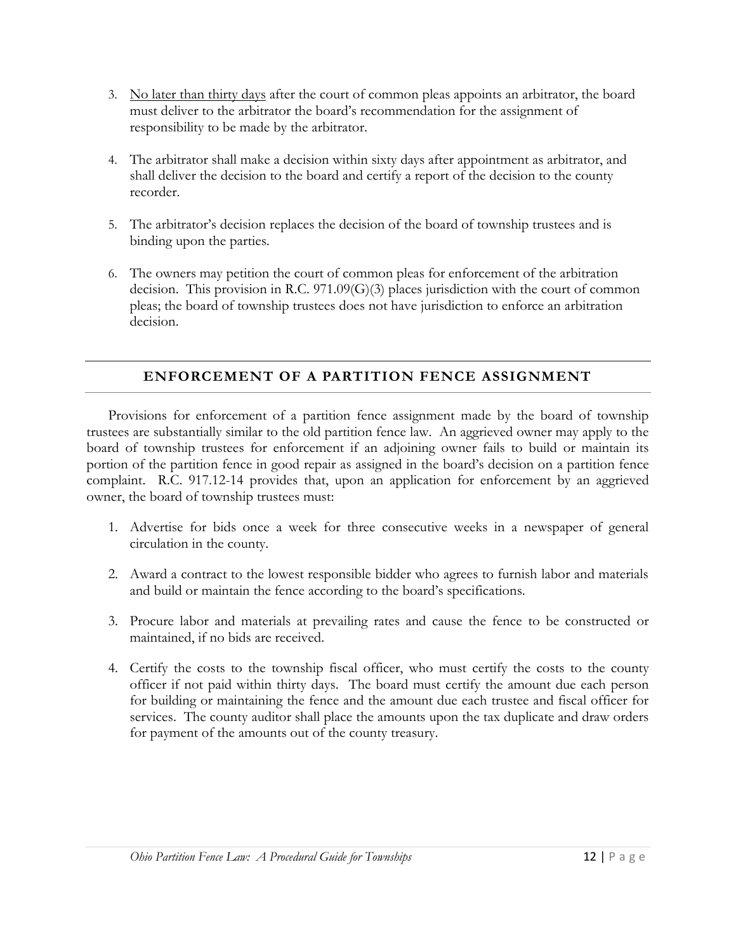- 3. No later than thirty days after the court of common pleas appoints an arbitrator, the board must deliver to the arbitrator the board's recommendation for the assignment of responsibility to be made by the arbitrator.
- 4. The arbitrator shall make a decision within sixty days after appointment as arbitrator, and shall deliver the decision to the board and certify a report of the decision to the county recorder.
- 5. The arbitrator's decision replaces the decision of the board of township trustees and is binding upon the parties.
- 6. The owners may petition the court of common pleas for enforcement of the arbitration decision. This provision in R.C. 971.09(G)(3) places jurisdiction with the court of common pleas; the board of township trustees does not have jurisdiction to enforce an arbitration decision.

#### **ENFORCEMENT OF A PARTITION FENCE ASSIGNMENT**

Provisions for enforcement of a partition fence assignment made by the board of township trustees are substantially similar to the old partition fence law. An aggrieved owner may apply to the board of township trustees for enforcement if an adjoining owner fails to build or maintain its portion of the partition fence in good repair as assigned in the board's decision on a partition fence complaint. R.C. 917.12-14 provides that, upon an application for enforcement by an aggrieved owner, the board of township trustees must:

- 1. Advertise for bids once a week for three consecutive weeks in a newspaper of general circulation in the county.
- 2. Award a contract to the lowest responsible bidder who agrees to furnish labor and materials and build or maintain the fence according to the board's specifications.
- 3. Procure labor and materials at prevailing rates and cause the fence to be constructed or maintained, if no bids are received.
- 4. Certify the costs to the township fiscal officer, who must certify the costs to the county officer if not paid within thirty days. The board must certify the amount due each person for building or maintaining the fence and the amount due each trustee and fiscal officer for services. The county auditor shall place the amounts upon the tax duplicate and draw orders for payment of the amounts out of the county treasury.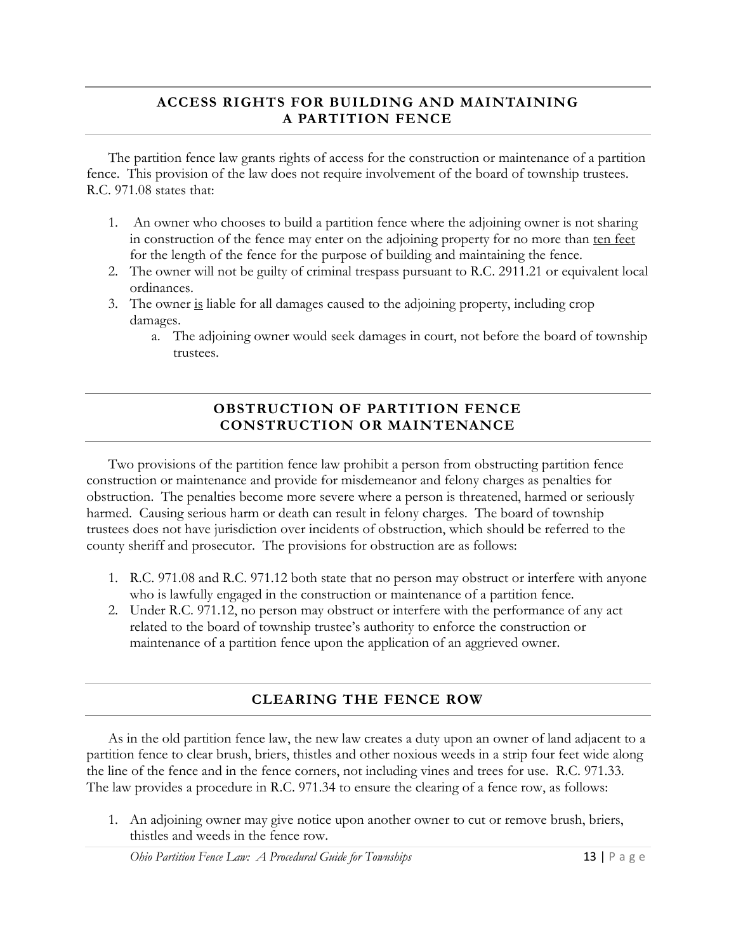#### **ACCESS RIGHTS FOR BUILDING AND MAINTAINING A PARTITION FENCE**

The partition fence law grants rights of access for the construction or maintenance of a partition fence. This provision of the law does not require involvement of the board of township trustees. R.C. 971.08 states that:

- 1. An owner who chooses to build a partition fence where the adjoining owner is not sharing in construction of the fence may enter on the adjoining property for no more than ten feet for the length of the fence for the purpose of building and maintaining the fence.
- 2. The owner will not be guilty of criminal trespass pursuant to R.C. 2911.21 or equivalent local ordinances.
- 3. The owner is liable for all damages caused to the adjoining property, including crop damages.
	- a. The adjoining owner would seek damages in court, not before the board of township trustees.

#### **OBSTRUCTION OF PARTITION FENCE CONSTRUCTION OR MAINTENANCE**

Two provisions of the partition fence law prohibit a person from obstructing partition fence construction or maintenance and provide for misdemeanor and felony charges as penalties for obstruction. The penalties become more severe where a person is threatened, harmed or seriously harmed. Causing serious harm or death can result in felony charges. The board of township trustees does not have jurisdiction over incidents of obstruction, which should be referred to the county sheriff and prosecutor. The provisions for obstruction are as follows:

- 1. R.C. 971.08 and R.C. 971.12 both state that no person may obstruct or interfere with anyone who is lawfully engaged in the construction or maintenance of a partition fence.
- 2. Under R.C. 971.12, no person may obstruct or interfere with the performance of any act related to the board of township trustee's authority to enforce the construction or maintenance of a partition fence upon the application of an aggrieved owner.

#### **CLEARING THE FENCE ROW**

As in the old partition fence law, the new law creates a duty upon an owner of land adjacent to a partition fence to clear brush, briers, thistles and other noxious weeds in a strip four feet wide along the line of the fence and in the fence corners, not including vines and trees for use. R.C. 971.33. The law provides a procedure in R.C. 971.34 to ensure the clearing of a fence row, as follows:

1. An adjoining owner may give notice upon another owner to cut or remove brush, briers, thistles and weeds in the fence row.

*Ohio Partition Fence Law: A Procedural Guide for Townships* 13 | P a g e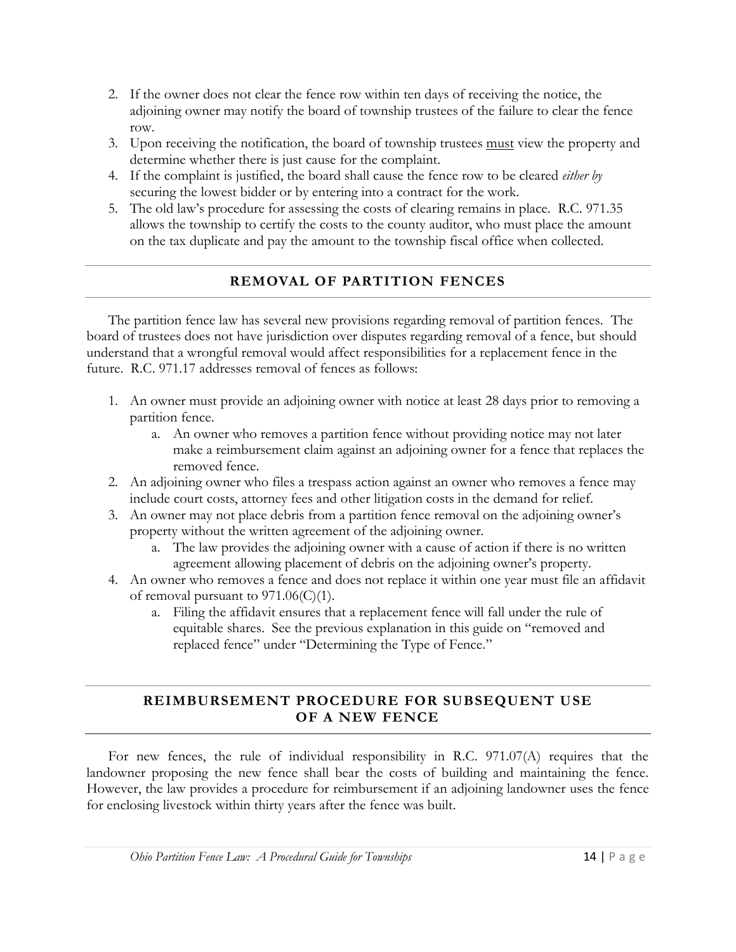- 2. If the owner does not clear the fence row within ten days of receiving the notice, the adjoining owner may notify the board of township trustees of the failure to clear the fence row.
- 3. Upon receiving the notification, the board of township trustees must view the property and determine whether there is just cause for the complaint.
- 4. If the complaint is justified, the board shall cause the fence row to be cleared *either by* securing the lowest bidder or by entering into a contract for the work.
- 5. The old law's procedure for assessing the costs of clearing remains in place. R.C. 971.35 allows the township to certify the costs to the county auditor, who must place the amount on the tax duplicate and pay the amount to the township fiscal office when collected.

#### **REMOVAL OF PARTITION FENCES**

The partition fence law has several new provisions regarding removal of partition fences. The board of trustees does not have jurisdiction over disputes regarding removal of a fence, but should understand that a wrongful removal would affect responsibilities for a replacement fence in the future. R.C. 971.17 addresses removal of fences as follows:

- 1. An owner must provide an adjoining owner with notice at least 28 days prior to removing a partition fence.
	- a. An owner who removes a partition fence without providing notice may not later make a reimbursement claim against an adjoining owner for a fence that replaces the removed fence.
- 2. An adjoining owner who files a trespass action against an owner who removes a fence may include court costs, attorney fees and other litigation costs in the demand for relief.
- 3. An owner may not place debris from a partition fence removal on the adjoining owner's property without the written agreement of the adjoining owner.
	- a. The law provides the adjoining owner with a cause of action if there is no written agreement allowing placement of debris on the adjoining owner's property.
- 4. An owner who removes a fence and does not replace it within one year must file an affidavit of removal pursuant to  $971.06(C)(1)$ .
	- a. Filing the affidavit ensures that a replacement fence will fall under the rule of equitable shares. See the previous explanation in this guide on "removed and replaced fence" under "Determining the Type of Fence."

#### **REIMBURSEMENT PROCEDURE FOR SUBSEQUENT USE OF A NEW FENCE**

For new fences, the rule of individual responsibility in R.C. 971.07(A) requires that the landowner proposing the new fence shall bear the costs of building and maintaining the fence. However, the law provides a procedure for reimbursement if an adjoining landowner uses the fence for enclosing livestock within thirty years after the fence was built.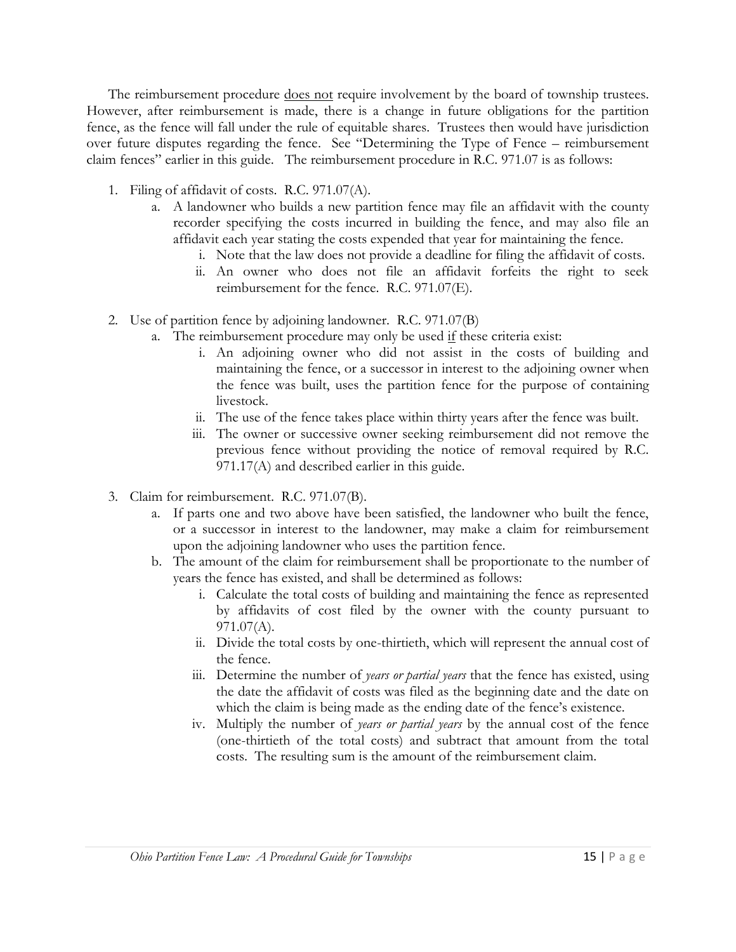The reimbursement procedure does not require involvement by the board of township trustees. However, after reimbursement is made, there is a change in future obligations for the partition fence, as the fence will fall under the rule of equitable shares. Trustees then would have jurisdiction over future disputes regarding the fence. See "Determining the Type of Fence – reimbursement claim fences" earlier in this guide. The reimbursement procedure in R.C. 971.07 is as follows:

- 1. Filing of affidavit of costs. R.C. 971.07(A).
	- a. A landowner who builds a new partition fence may file an affidavit with the county recorder specifying the costs incurred in building the fence, and may also file an affidavit each year stating the costs expended that year for maintaining the fence.
		- i. Note that the law does not provide a deadline for filing the affidavit of costs.
		- ii. An owner who does not file an affidavit forfeits the right to seek reimbursement for the fence. R.C. 971.07(E).
- 2. Use of partition fence by adjoining landowner. R.C. 971.07(B)
	- a. The reimbursement procedure may only be used if these criteria exist:
		- i. An adjoining owner who did not assist in the costs of building and maintaining the fence, or a successor in interest to the adjoining owner when the fence was built, uses the partition fence for the purpose of containing livestock.
		- ii. The use of the fence takes place within thirty years after the fence was built.
		- iii. The owner or successive owner seeking reimbursement did not remove the previous fence without providing the notice of removal required by R.C. 971.17(A) and described earlier in this guide.
- 3. Claim for reimbursement. R.C. 971.07(B).
	- a. If parts one and two above have been satisfied, the landowner who built the fence, or a successor in interest to the landowner, may make a claim for reimbursement upon the adjoining landowner who uses the partition fence.
	- b. The amount of the claim for reimbursement shall be proportionate to the number of years the fence has existed, and shall be determined as follows:
		- i. Calculate the total costs of building and maintaining the fence as represented by affidavits of cost filed by the owner with the county pursuant to 971.07(A).
		- ii. Divide the total costs by one-thirtieth, which will represent the annual cost of the fence.
		- iii. Determine the number of *years or partial years* that the fence has existed, using the date the affidavit of costs was filed as the beginning date and the date on which the claim is being made as the ending date of the fence's existence.
		- iv. Multiply the number of *years or partial years* by the annual cost of the fence (one-thirtieth of the total costs) and subtract that amount from the total costs. The resulting sum is the amount of the reimbursement claim.